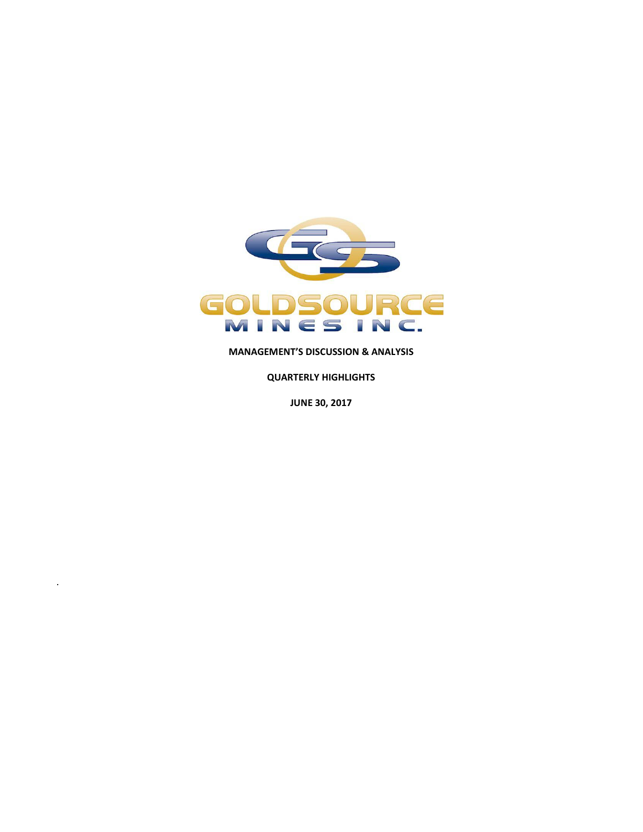

**MANAGEMENT'S DISCUSSION & ANALYSIS**

**QUARTERLY HIGHLIGHTS**

**JUNE 30, 2017**

*.*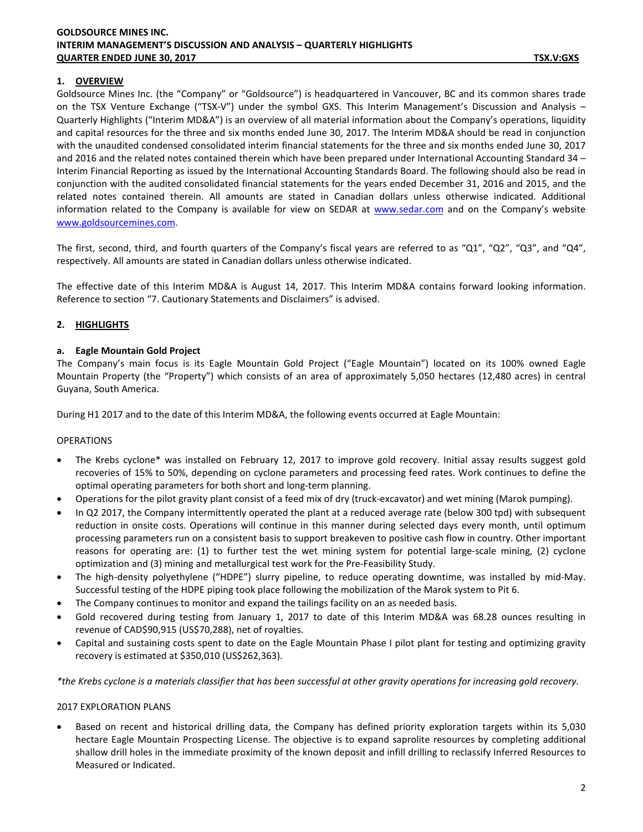### **1. OVERVIEW**

Goldsource Mines Inc. (the "Company" or "Goldsource") is headquartered in Vancouver, BC and its common shares trade on the TSX Venture Exchange ("TSX-V") under the symbol GXS. This Interim Management's Discussion and Analysis – Quarterly Highlights ("Interim MD&A") is an overview of all material information about the Company's operations, liquidity and capital resources for the three and six months ended June 30, 2017. The Interim MD&A should be read in conjunction with the unaudited condensed consolidated interim financial statements for the three and six months ended June 30, 2017 and 2016 and the related notes contained therein which have been prepared under International Accounting Standard 34 – Interim Financial Reporting as issued by the International Accounting Standards Board. The following should also be read in conjunction with the audited consolidated financial statements for the years ended December 31, 2016 and 2015, and the related notes contained therein. All amounts are stated in Canadian dollars unless otherwise indicated. Additional information related to the Company is available for view on SEDAR at [www.sedar.com](http://www.sedar.com/) and on the Company's website [www.goldsourcemines.com.](http://www.goldsourcemines.com/)

The first, second, third, and fourth quarters of the Company's fiscal years are referred to as "Q1", "Q2", "Q3", and "Q4", respectively. All amounts are stated in Canadian dollars unless otherwise indicated.

The effective date of this Interim MD&A is August 14, 2017. This Interim MD&A contains forward looking information. Reference to section ["7.](#page-5-0) Cautionary Statements and Disclaimers" is advised.

### <span id="page-1-0"></span>**2. HIGHLIGHTS**

#### **a. Eagle Mountain Gold Project**

The Company's main focus is its Eagle Mountain Gold Project ("Eagle Mountain") located on its 100% owned Eagle Mountain Property (the "Property") which consists of an area of approximately 5,050 hectares (12,480 acres) in central Guyana, South America.

During H1 2017 and to the date of this Interim MD&A, the following events occurred at Eagle Mountain:

#### OPERATIONS

- The Krebs cyclone\* was installed on February 12, 2017 to improve gold recovery. Initial assay results suggest gold recoveries of 15% to 50%, depending on cyclone parameters and processing feed rates. Work continues to define the optimal operating parameters for both short and long-term planning.
- Operations for the pilot gravity plant consist of a feed mix of dry (truck-excavator) and wet mining (Marok pumping).
- In Q2 2017, the Company intermittently operated the plant at a reduced average rate (below 300 tpd) with subsequent reduction in onsite costs. Operations will continue in this manner during selected days every month, until optimum processing parameters run on a consistent basis to support breakeven to positive cash flow in country. Other important reasons for operating are: (1) to further test the wet mining system for potential large-scale mining, (2) cyclone optimization and (3) mining and metallurgical test work for the Pre-Feasibility Study.
- The high-density polyethylene ("HDPE") slurry pipeline, to reduce operating downtime, was installed by mid-May. Successful testing of the HDPE piping took place following the mobilization of the Marok system to Pit 6.
- The Company continues to monitor and expand the tailings facility on an as needed basis.
- Gold recovered during testing from January 1, 2017 to date of this Interim MD&A was 68.28 ounces resulting in revenue of CAD\$90,915 (US\$70,288), net of royalties.
- Capital and sustaining costs spent to date on the Eagle Mountain Phase I pilot plant for testing and optimizing gravity recovery is estimated at \$350,010 (US\$262,363).

*\*the Krebs cyclone is a materials classifier that has been successful at other gravity operations for increasing gold recovery.*

#### 2017 EXPLORATION PLANS

• Based on recent and historical drilling data, the Company has defined priority exploration targets within its 5,030 hectare Eagle Mountain Prospecting License. The objective is to expand saprolite resources by completing additional shallow drill holes in the immediate proximity of the known deposit and infill drilling to reclassify Inferred Resources to Measured or Indicated.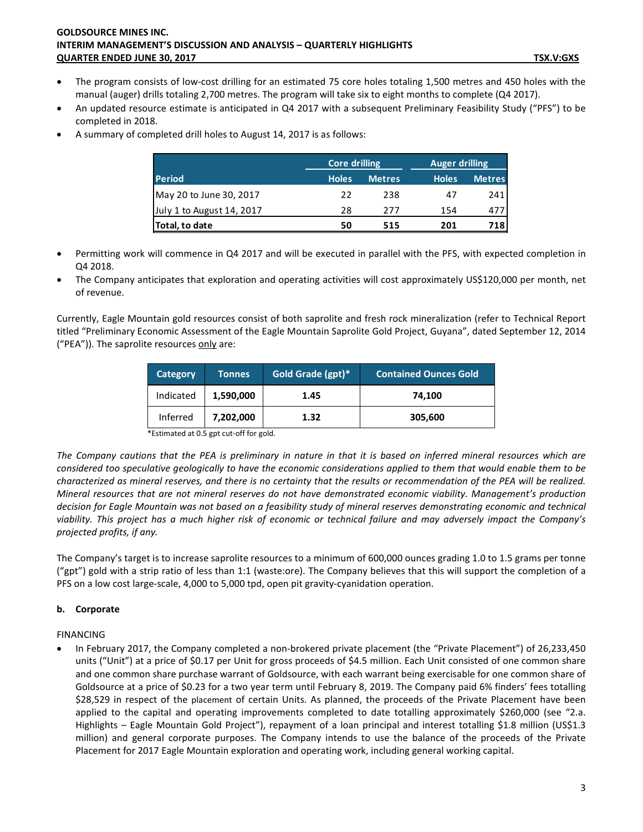- The program consists of low-cost drilling for an estimated 75 core holes totaling 1,500 metres and 450 holes with the manual (auger) drills totaling 2,700 metres. The program will take six to eight months to complete (Q4 2017).
- An updated resource estimate is anticipated in Q4 2017 with a subsequent Preliminary Feasibility Study ("PFS") to be completed in 2018.
- A summary of completed drill holes to August 14, 2017 is as follows:

|                           |              | <b>Core drilling</b> |              | <b>Auger drilling</b> |  |
|---------------------------|--------------|----------------------|--------------|-----------------------|--|
| <b>Period</b>             | <b>Holes</b> | <b>Metres</b>        | <b>Holes</b> | <b>Metres</b>         |  |
| May 20 to June 30, 2017   | 22           | 238                  | 47           | 241                   |  |
| July 1 to August 14, 2017 | 28           | 277                  | 154          | 477                   |  |
| Total, to date            | 50           | 515                  | 201          | 718                   |  |

- Permitting work will commence in Q4 2017 and will be executed in parallel with the PFS, with expected completion in Q4 2018.
- The Company anticipates that exploration and operating activities will cost approximately US\$120,000 per month, net of revenue.

Currently, Eagle Mountain gold resources consist of both saprolite and fresh rock mineralization (refer to Technical Report titled "Preliminary Economic Assessment of the Eagle Mountain Saprolite Gold Project, Guyana", dated September 12, 2014 ("PEA")). The saprolite resources only are:

| Category  | <b>Tonnes</b> | Gold Grade (gpt)* | <b>Contained Ounces Gold</b> |
|-----------|---------------|-------------------|------------------------------|
| Indicated | 1,590,000     | 1.45              | 74.100                       |
| Inferred  | 7,202,000     | 1.32              | 305,600                      |

\*Estimated at 0.5 gpt cut-off for gold.

*The Company cautions that the PEA is preliminary in nature in that it is based on inferred mineral resources which are considered too speculative geologically to have the economic considerations applied to them that would enable them to be characterized as mineral reserves, and there is no certainty that the results or recommendation of the PEA will be realized. Mineral resources that are not mineral reserves do not have demonstrated economic viability. Management's production decision for Eagle Mountain was not based on a feasibility study of mineral reserves demonstrating economic and technical viability. This project has a much higher risk of economic or technical failure and may adversely impact the Company's projected profits, if any.* 

The Company's target is to increase saprolite resources to a minimum of 600,000 ounces grading 1.0 to 1.5 grams per tonne ("gpt") gold with a strip ratio of less than 1:1 (waste:ore). The Company believes that this will support the completion of a PFS on a low cost large-scale, 4,000 to 5,000 tpd, open pit gravity-cyanidation operation.

## **b. Corporate**

FINANCING

• In February 2017, the Company completed a non-brokered private placement (the "Private Placement") of 26,233,450 units ("Unit") at a price of \$0.17 per Unit for gross proceeds of \$4.5 million. Each Unit consisted of one common share and one common share purchase warrant of Goldsource, with each warrant being exercisable for one common share of Goldsource at a price of \$0.23 for a two year term until February 8, 2019. The Company paid 6% finders' fees totalling \$28,529 in respect of the placement of certain Units. As planned, the proceeds of the Private Placement have been applied to the capital and operating improvements completed to date totalling approximately \$260,000 (see ["2.](#page-1-0)a. Highlights – Eagle Mountain Gold Project"), repayment of a loan principal and interest totalling \$1.8 million (US\$1.3 million) and general corporate purposes. The Company intends to use the balance of the proceeds of the Private Placement for 2017 Eagle Mountain exploration and operating work, including general working capital.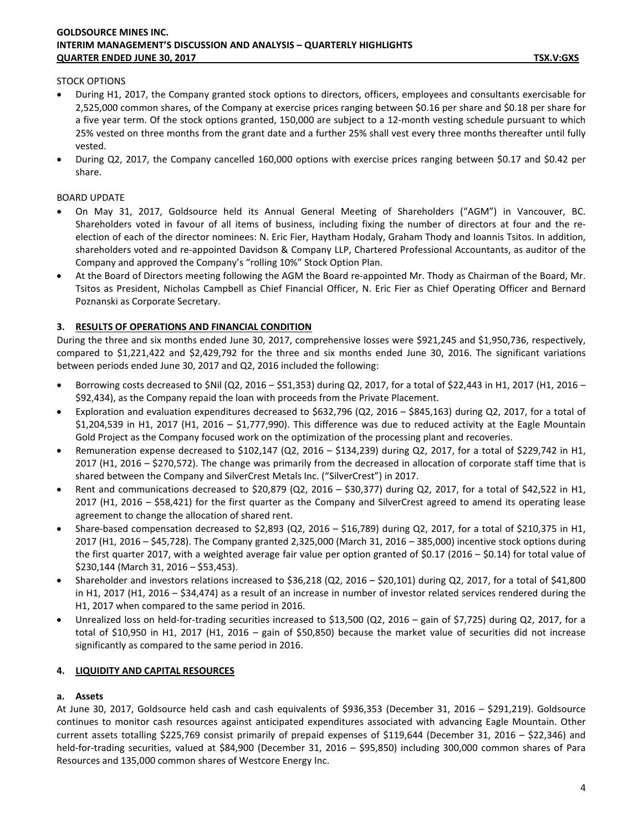### STOCK OPTIONS

- During H1, 2017, the Company granted stock options to directors, officers, employees and consultants exercisable for 2,525,000 common shares, of the Company at exercise prices ranging between \$0.16 per share and \$0.18 per share for a five year term. Of the stock options granted, 150,000 are subject to a 12-month vesting schedule pursuant to which 25% vested on three months from the grant date and a further 25% shall vest every three months thereafter until fully vested.
- During Q2, 2017, the Company cancelled 160,000 options with exercise prices ranging between \$0.17 and \$0.42 per share.

### BOARD UPDATE

- On May 31, 2017, Goldsource held its Annual General Meeting of Shareholders ("AGM") in Vancouver, BC. Shareholders voted in favour of all items of business, including fixing the number of directors at four and the reelection of each of the director nominees: N. Eric Fier, Haytham Hodaly, Graham Thody and Ioannis Tsitos. In addition, shareholders voted and re-appointed Davidson & Company LLP, Chartered Professional Accountants, as auditor of the Company and approved the Company's "rolling 10%" Stock Option Plan.
- At the Board of Directors meeting following the AGM the Board re-appointed Mr. Thody as Chairman of the Board, Mr. Tsitos as President, Nicholas Campbell as Chief Financial Officer, N. Eric Fier as Chief Operating Officer and Bernard Poznanski as Corporate Secretary.

## **3. RESULTS OF OPERATIONS AND FINANCIAL CONDITION**

During the three and six months ended June 30, 2017, comprehensive losses were \$921,245 and \$1,950,736, respectively, compared to \$1,221,422 and \$2,429,792 for the three and six months ended June 30, 2016. The significant variations between periods ended June 30, 2017 and Q2, 2016 included the following:

- Borrowing costs decreased to \$Nil (Q2, 2016 \$51,353) during Q2, 2017, for a total of \$22,443 in H1, 2017 (H1, 2016 \$92,434), as the Company repaid the loan with proceeds from the Private Placement.
- Exploration and evaluation expenditures decreased to \$632,796 (Q2, 2016 \$845,163) during Q2, 2017, for a total of \$1,204,539 in H1, 2017 (H1, 2016 – \$1,777,990). This difference was due to reduced activity at the Eagle Mountain Gold Project as the Company focused work on the optimization of the processing plant and recoveries.
- Remuneration expense decreased to \$102,147 (Q2, 2016 \$134,239) during Q2, 2017, for a total of \$229,742 in H1, 2017 (H1, 2016 – \$270,572). The change was primarily from the decreased in allocation of corporate staff time that is shared between the Company and SilverCrest Metals Inc. ("SilverCrest") in 2017.
- Rent and communications decreased to \$20,879 (Q2, 2016 \$30,377) during Q2, 2017, for a total of \$42,522 in H1, 2017 (H1, 2016 – \$58,421) for the first quarter as the Company and SilverCrest agreed to amend its operating lease agreement to change the allocation of shared rent.
- Share-based compensation decreased to \$2,893 (Q2, 2016 \$16,789) during Q2, 2017, for a total of \$210,375 in H1, 2017 (H1, 2016 – \$45,728). The Company granted 2,325,000 (March 31, 2016 – 385,000) incentive stock options during the first quarter 2017, with a weighted average fair value per option granted of \$0.17 (2016 – \$0.14) for total value of \$230,144 (March 31, 2016 – \$53,453).
- Shareholder and investors relations increased to \$36,218 (Q2, 2016 \$20,101) during Q2, 2017, for a total of \$41,800 in H1, 2017 (H1, 2016 – \$34,474) as a result of an increase in number of investor related services rendered during the H1, 2017 when compared to the same period in 2016.
- Unrealized loss on held-for-trading securities increased to \$13,500 (Q2, 2016 gain of \$7,725) during Q2, 2017, for a total of \$10,950 in H1, 2017 (H1, 2016 – gain of \$50,850) because the market value of securities did not increase significantly as compared to the same period in 2016.

## **4. LIQUIDITY AND CAPITAL RESOURCES**

## **a. Assets**

At June 30, 2017, Goldsource held cash and cash equivalents of \$936,353 (December 31, 2016 – \$291,219). Goldsource continues to monitor cash resources against anticipated expenditures associated with advancing Eagle Mountain. Other current assets totalling \$225,769 consist primarily of prepaid expenses of \$119,644 (December 31, 2016 – \$22,346) and held-for-trading securities, valued at \$84,900 (December 31, 2016 – \$95,850) including 300,000 common shares of Para Resources and 135,000 common shares of Westcore Energy Inc.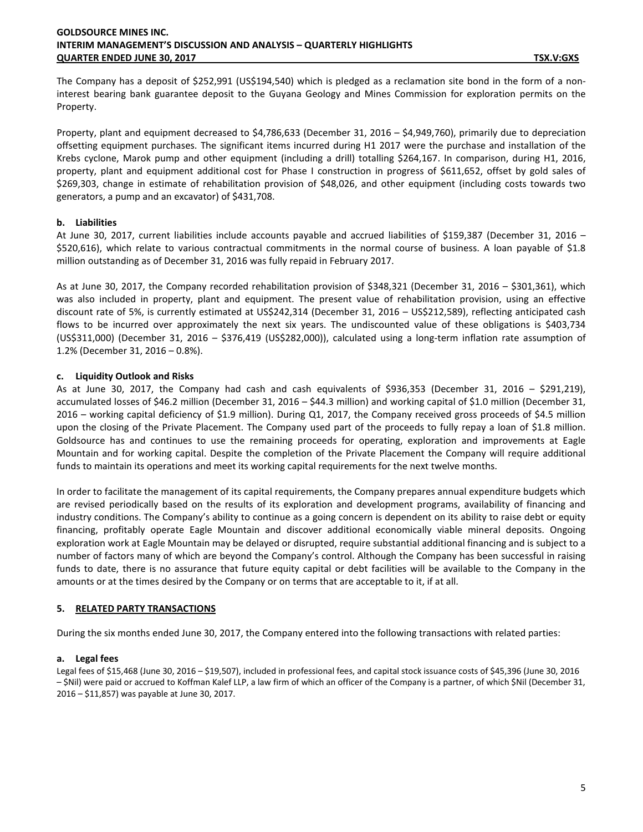The Company has a deposit of \$252,991 (US\$194,540) which is pledged as a reclamation site bond in the form of a noninterest bearing bank guarantee deposit to the Guyana Geology and Mines Commission for exploration permits on the Property.

Property, plant and equipment decreased to \$4,786,633 (December 31, 2016 – \$4,949,760), primarily due to depreciation offsetting equipment purchases. The significant items incurred during H1 2017 were the purchase and installation of the Krebs cyclone, Marok pump and other equipment (including a drill) totalling \$264,167. In comparison, during H1, 2016, property, plant and equipment additional cost for Phase I construction in progress of \$611,652, offset by gold sales of \$269,303, change in estimate of rehabilitation provision of \$48,026, and other equipment (including costs towards two generators, a pump and an excavator) of \$431,708.

### **b. Liabilities**

At June 30, 2017, current liabilities include accounts payable and accrued liabilities of \$159,387 (December 31, 2016 – \$520,616), which relate to various contractual commitments in the normal course of business. A loan payable of \$1.8 million outstanding as of December 31, 2016 was fully repaid in February 2017.

As at June 30, 2017, the Company recorded rehabilitation provision of \$348,321 (December 31, 2016 – \$301,361), which was also included in property, plant and equipment. The present value of rehabilitation provision, using an effective discount rate of 5%, is currently estimated at US\$242,314 (December 31, 2016 – US\$212,589), reflecting anticipated cash flows to be incurred over approximately the next six years. The undiscounted value of these obligations is \$403,734 (US\$311,000) (December 31, 2016 – \$376,419 (US\$282,000)), calculated using a long-term inflation rate assumption of 1.2% (December 31, 2016 – 0.8%).

## **c. Liquidity Outlook and Risks**

As at June 30, 2017, the Company had cash and cash equivalents of \$936,353 (December 31, 2016 – \$291,219), accumulated losses of \$46.2 million (December 31, 2016 – \$44.3 million) and working capital of \$1.0 million (December 31, 2016 – working capital deficiency of \$1.9 million). During Q1, 2017, the Company received gross proceeds of \$4.5 million upon the closing of the Private Placement. The Company used part of the proceeds to fully repay a loan of \$1.8 million. Goldsource has and continues to use the remaining proceeds for operating, exploration and improvements at Eagle Mountain and for working capital. Despite the completion of the Private Placement the Company will require additional funds to maintain its operations and meet its working capital requirements for the next twelve months.

In order to facilitate the management of its capital requirements, the Company prepares annual expenditure budgets which are revised periodically based on the results of its exploration and development programs, availability of financing and industry conditions. The Company's ability to continue as a going concern is dependent on its ability to raise debt or equity financing, profitably operate Eagle Mountain and discover additional economically viable mineral deposits. Ongoing exploration work at Eagle Mountain may be delayed or disrupted, require substantial additional financing and is subject to a number of factors many of which are beyond the Company's control. Although the Company has been successful in raising funds to date, there is no assurance that future equity capital or debt facilities will be available to the Company in the amounts or at the times desired by the Company or on terms that are acceptable to it, if at all.

## **5. RELATED PARTY TRANSACTIONS**

During the six months ended June 30, 2017, the Company entered into the following transactions with related parties:

## **a. Legal fees**

Legal fees of \$15,468 (June 30, 2016 – \$19,507), included in professional fees, and capital stock issuance costs of \$45,396 (June 30, 2016 – \$Nil) were paid or accrued to Koffman Kalef LLP, a law firm of which an officer of the Company is a partner, of which \$Nil (December 31, 2016 – \$11,857) was payable at June 30, 2017.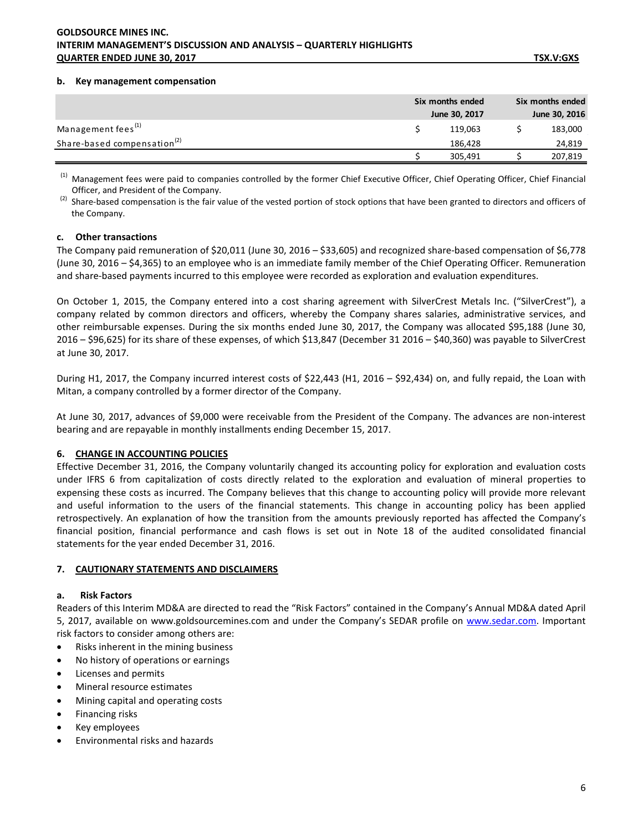#### **b. Key management compensation**

|                                         | Six months ended<br>June 30, 2017 | Six months ended<br>June 30, 2016 |
|-----------------------------------------|-----------------------------------|-----------------------------------|
| Management fees <sup>(1)</sup>          | 119.063                           | 183,000                           |
| Share-based compensation <sup>(2)</sup> | 186.428                           | 24,819                            |
|                                         | 305,491                           | 207,819                           |

<sup>(1)</sup> Management fees were paid to companies controlled by the former Chief Executive Officer, Chief Operating Officer, Chief Financial Officer, and President of the Company.

 $^{(2)}$  Share-based compensation is the fair value of the vested portion of stock options that have been granted to directors and officers of the Company.

#### **c. Other transactions**

The Company paid remuneration of \$20,011 (June 30, 2016 – \$33,605) and recognized share-based compensation of \$6,778 (June 30, 2016 – \$4,365) to an employee who is an immediate family member of the Chief Operating Officer. Remuneration and share-based payments incurred to this employee were recorded as exploration and evaluation expenditures.

On October 1, 2015, the Company entered into a cost sharing agreement with SilverCrest Metals Inc. ("SilverCrest"), a company related by common directors and officers, whereby the Company shares salaries, administrative services, and other reimbursable expenses. During the six months ended June 30, 2017, the Company was allocated \$95,188 (June 30, 2016 – \$96,625) for its share of these expenses, of which \$13,847 (December 31 2016 – \$40,360) was payable to SilverCrest at June 30, 2017.

During H1, 2017, the Company incurred interest costs of \$22,443 (H1, 2016 – \$92,434) on, and fully repaid, the Loan with Mitan, a company controlled by a former director of the Company.

At June 30, 2017, advances of \$9,000 were receivable from the President of the Company. The advances are non-interest bearing and are repayable in monthly installments ending December 15, 2017.

#### **6. CHANGE IN ACCOUNTING POLICIES**

Effective December 31, 2016, the Company voluntarily changed its accounting policy for exploration and evaluation costs under IFRS 6 from capitalization of costs directly related to the exploration and evaluation of mineral properties to expensing these costs as incurred. The Company believes that this change to accounting policy will provide more relevant and useful information to the users of the financial statements. This change in accounting policy has been applied retrospectively. An explanation of how the transition from the amounts previously reported has affected the Company's financial position, financial performance and cash flows is set out in Note 18 of the audited consolidated financial statements for the year ended December 31, 2016.

#### <span id="page-5-0"></span>**7. CAUTIONARY STATEMENTS AND DISCLAIMERS**

#### **a. Risk Factors**

Readers of this Interim MD&A are directed to read the "Risk Factors" contained in the Company's Annual MD&A dated April 5, 2017, available on www.goldsourcemines.com and under the Company's SEDAR profile on [www.sedar.com.](http://www.sedar.com/) Important risk factors to consider among others are:

- Risks inherent in the mining business
- No history of operations or earnings
- Licenses and permits
- Mineral resource estimates
- Mining capital and operating costs
- Financing risks
- Key employees
- Environmental risks and hazards